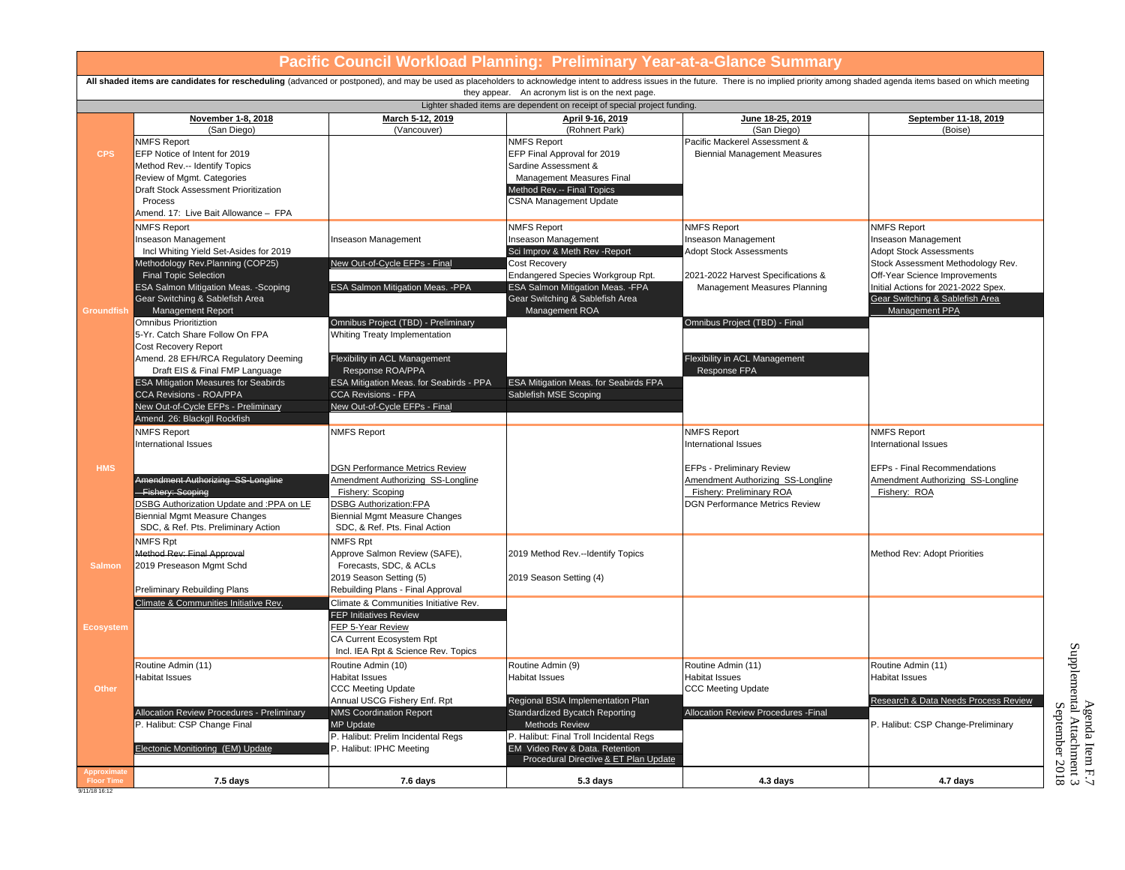| Pacific Council Workload Planning:  Preliminary Year-at-a-Glance Summary                                                                                                                                                                                                           |                                                                                                                                                                                                                                                                                                                    |                                                                                                                                                                                                                                     |                                                                                                                                                                                                                            |                                                                                                                                                   |                                                                                                                                                                                                                                               |  |
|------------------------------------------------------------------------------------------------------------------------------------------------------------------------------------------------------------------------------------------------------------------------------------|--------------------------------------------------------------------------------------------------------------------------------------------------------------------------------------------------------------------------------------------------------------------------------------------------------------------|-------------------------------------------------------------------------------------------------------------------------------------------------------------------------------------------------------------------------------------|----------------------------------------------------------------------------------------------------------------------------------------------------------------------------------------------------------------------------|---------------------------------------------------------------------------------------------------------------------------------------------------|-----------------------------------------------------------------------------------------------------------------------------------------------------------------------------------------------------------------------------------------------|--|
| All shaded items are candidates for rescheduling (advanced or postponed), and may be used as placeholders to acknowledge intent to address issues in the future. There is no implied priority among shaded agenda items based<br>they appear. An acronym list is on the next page. |                                                                                                                                                                                                                                                                                                                    |                                                                                                                                                                                                                                     |                                                                                                                                                                                                                            |                                                                                                                                                   |                                                                                                                                                                                                                                               |  |
| Lighter shaded items are dependent on receipt of special project funding.                                                                                                                                                                                                          |                                                                                                                                                                                                                                                                                                                    |                                                                                                                                                                                                                                     |                                                                                                                                                                                                                            |                                                                                                                                                   |                                                                                                                                                                                                                                               |  |
|                                                                                                                                                                                                                                                                                    | November 1-8, 2018<br>(San Diego)                                                                                                                                                                                                                                                                                  | March 5-12, 2019<br>(Vancouver)                                                                                                                                                                                                     | April 9-16, 2019<br>(Rohnert Park)                                                                                                                                                                                         | June 18-25, 2019<br>(San Diego)                                                                                                                   | September 11-18, 2019<br>(Boise)                                                                                                                                                                                                              |  |
| <b>CPS</b>                                                                                                                                                                                                                                                                         | <b>NMFS Report</b><br>EFP Notice of Intent for 2019<br>Method Rev.-- Identify Topics<br>Review of Mgmt. Categories<br>Draft Stock Assessment Prioritization<br>Process<br>Amend. 17: Live Bait Allowance - FPA                                                                                                     |                                                                                                                                                                                                                                     | <b>NMFS Report</b><br>EFP Final Approval for 2019<br>Sardine Assessment &<br>Management Measures Final<br>Method Rev.-- Final Topics<br><b>CSNA Management Update</b>                                                      | Pacific Mackerel Assessment &<br><b>Biennial Management Measures</b>                                                                              |                                                                                                                                                                                                                                               |  |
| Groundfish                                                                                                                                                                                                                                                                         | <b>NMFS Report</b><br>Inseason Management<br>Incl Whiting Yield Set-Asides for 2019<br>Methodology Rev.Planning (COP25)<br><b>Final Topic Selection</b><br>ESA Salmon Mitigation Meas. - Scoping<br>Gear Switching & Sablefish Area<br>Management Report                                                           | Inseason Management<br>New Out-of-Cycle EFPs - Final<br>ESA Salmon Mitigation Meas. - PPA                                                                                                                                           | <b>NMFS Report</b><br>Inseason Management<br>Sci Improv & Meth Rev - Report<br>Cost Recovery<br>Endangered Species Workgroup Rpt.<br>ESA Salmon Mitigation Meas. -FPA<br>Gear Switching & Sablefish Area<br>Management ROA | <b>NMFS Report</b><br>Inseason Management<br><b>Adopt Stock Assessments</b><br>2021-2022 Harvest Specifications &<br>Management Measures Planning | <b>NMFS Report</b><br>Inseason Management<br><b>Adopt Stock Assessments</b><br>Stock Assessment Methodology Rev.<br>Off-Year Science Improvements<br>Initial Actions for 2021-2022 Spex.<br>Gear Switching & Sablefish Area<br>Management PPA |  |
|                                                                                                                                                                                                                                                                                    | <b>Omnibus Prioritiztion</b><br>5-Yr. Catch Share Follow On FPA<br>Cost Recovery Report<br>Amend. 28 EFH/RCA Regulatory Deeming<br>Draft EIS & Final FMP Language<br><b>ESA Mitigation Measures for Seabirds</b><br>CCA Revisions - ROA/PPA<br>New Out-of-Cycle EFPs - Preliminary<br>Amend. 26: Blackgll Rockfish | Omnibus Project (TBD) - Preliminary<br>Whiting Treaty Implementation<br>Flexibility in ACL Management<br>Response ROA/PPA<br>ESA Mitigation Meas. for Seabirds - PPA<br><b>CCA Revisions - FPA</b><br>New Out-of-Cycle EFPs - Final | ESA Mitigation Meas. for Seabirds FPA<br>Sablefish MSE Scoping                                                                                                                                                             | Omnibus Project (TBD) - Final<br>Flexibility in ACL Management<br>Response FPA                                                                    |                                                                                                                                                                                                                                               |  |
|                                                                                                                                                                                                                                                                                    | <b>NMFS Report</b><br><b>International Issues</b>                                                                                                                                                                                                                                                                  | <b>NMFS Report</b>                                                                                                                                                                                                                  |                                                                                                                                                                                                                            | <b>NMFS Report</b><br>International Issues                                                                                                        | <b>NMFS Report</b><br>International Issues                                                                                                                                                                                                    |  |
| <b>HMS</b>                                                                                                                                                                                                                                                                         | Amendment Authorizing SS-Longline<br>Fishery: Scoping<br>DSBG Authorization Update and :PPA on LE<br><b>Biennial Mgmt Measure Changes</b><br>SDC, & Ref. Pts. Preliminary Action                                                                                                                                   | <b>DGN Performance Metrics Review</b><br>Amendment Authorizing SS-Longline<br>Fishery: Scoping<br><b>DSBG Authorization:FPA</b><br>Biennial Mgmt Measure Changes<br>SDC, & Ref. Pts. Final Action                                   |                                                                                                                                                                                                                            | <b>EFPs - Preliminary Review</b><br>Amendment Authorizing SS-Longline<br>Fishery: Preliminary ROA<br><b>DGN Performance Metrics Review</b>        | EFPs - Final Recommendations<br>Amendment Authorizing SS-Longline<br>Fishery: ROA                                                                                                                                                             |  |
| <b>Salmon</b>                                                                                                                                                                                                                                                                      | NMFS Rpt<br>Method Rev: Final Approval<br>2019 Preseason Mgmt Schd                                                                                                                                                                                                                                                 | <b>NMFS Rpt</b><br>Approve Salmon Review (SAFE),<br>Forecasts, SDC, & ACLs                                                                                                                                                          | 2019 Method Rev.--Identify Topics                                                                                                                                                                                          |                                                                                                                                                   | Method Rev: Adopt Priorities                                                                                                                                                                                                                  |  |
|                                                                                                                                                                                                                                                                                    | Preliminary Rebuilding Plans<br>Climate & Communities Initiative Rev.                                                                                                                                                                                                                                              | 2019 Season Setting (5)<br>Rebuilding Plans - Final Approval<br>Climate & Communities Initiative Rev.                                                                                                                               | 2019 Season Setting (4)                                                                                                                                                                                                    |                                                                                                                                                   |                                                                                                                                                                                                                                               |  |
| <b>Ecosystem</b>                                                                                                                                                                                                                                                                   |                                                                                                                                                                                                                                                                                                                    | <b>FEP Initiatives Review</b><br>FEP 5-Year Review<br>CA Current Ecosystem Rpt<br>Incl. IEA Rpt & Science Rev. Topics                                                                                                               |                                                                                                                                                                                                                            |                                                                                                                                                   |                                                                                                                                                                                                                                               |  |
| Other                                                                                                                                                                                                                                                                              | Routine Admin (11)<br><b>Habitat Issues</b>                                                                                                                                                                                                                                                                        | Routine Admin (10)<br><b>Habitat Issues</b><br><b>CCC Meeting Update</b>                                                                                                                                                            | Routine Admin (9)<br>Habitat Issues                                                                                                                                                                                        | Routine Admin (11)<br><b>Habitat Issues</b><br><b>CCC Meeting Update</b>                                                                          | Routine Admin (11)<br><b>Habitat Issues</b>                                                                                                                                                                                                   |  |
|                                                                                                                                                                                                                                                                                    | Allocation Review Procedures - Preliminary<br>P. Halibut: CSP Change Final<br>Electonic Monitioring (EM) Update                                                                                                                                                                                                    | Annual USCG Fishery Enf. Rpt<br><b>NMS Coordination Report</b><br><b>MP Update</b><br>P. Halibut: Prelim Incidental Regs<br>P. Halibut: IPHC Meeting                                                                                | Regional BSIA Implementation Plan<br>Standardized Bycatch Reporting<br>Methods Review<br>P. Halibut: Final Troll Incidental Regs<br>EM Video Rev & Data, Retention<br>Procedural Directive & ET Plan Update                | Allocation Review Procedures - Final                                                                                                              | Research & Data Needs Process Review<br>P. Halibut: CSP Change-Preliminary                                                                                                                                                                    |  |
| Approximate<br><b>Floor Time</b><br>9/11/18 16:12                                                                                                                                                                                                                                  | 7.5 days                                                                                                                                                                                                                                                                                                           | 7.6 days                                                                                                                                                                                                                            | 5.3 days                                                                                                                                                                                                                   | 4.3 days                                                                                                                                          | 4.7 days                                                                                                                                                                                                                                      |  |